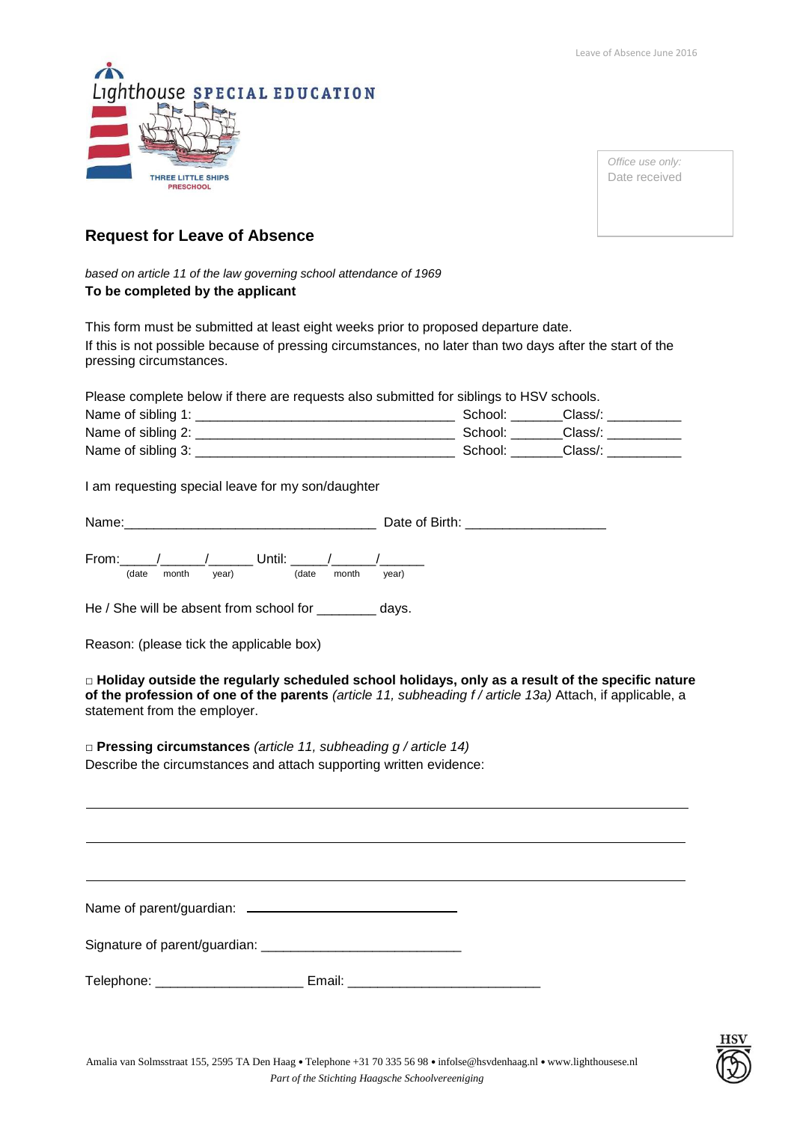

*Office use only:* Date received

## **Request for Leave of Absence**

*based on article 11 of the law governing school attendance of 1969*  **To be completed by the applicant**

This form must be submitted at least eight weeks prior to proposed departure date. If this is not possible because of pressing circumstances, no later than two days after the start of the pressing circumstances.

Please complete below if there are requests also submitted for siblings to HSV schools.

| Name of sibling 1: | School  | Class/  |
|--------------------|---------|---------|
| Name of sibling 2: | School: | Class/. |
| Name of sibling 3: | School: | Class/  |

I am requesting special leave for my son/daughter

| Name: | .<br>Date of Birth: |
|-------|---------------------|
|       |                     |

From:  $\frac{1}{2}$   $\frac{1}{2}$   $\frac{1}{2}$  Until:  $\frac{1}{2}$ (date month year) (date month year)

He / She will be absent from school for \_\_\_\_\_\_\_\_ days.

Reason: (please tick the applicable box)

□ **Holiday outside the regularly scheduled school holidays, only as a result of the specific nature of the profession of one of the parents** *(article 11, subheading f / article 13a)* Attach, if applicable, a statement from the employer.

□ **Pressing circumstances** *(article 11, subheading g / article 14)* Describe the circumstances and attach supporting written evidence:

Name of parent/guardian:

Signature of parent/guardian: \_\_\_\_\_\_\_\_\_\_\_\_\_\_\_\_\_\_\_\_\_\_\_\_\_\_\_

Telephone: \_\_\_\_\_\_\_\_\_\_\_\_\_\_\_\_\_\_\_\_\_\_\_\_\_\_\_\_ Email: \_\_\_\_\_\_\_\_\_\_\_\_\_\_\_\_\_\_\_\_\_\_\_\_\_\_\_\_\_\_\_\_\_